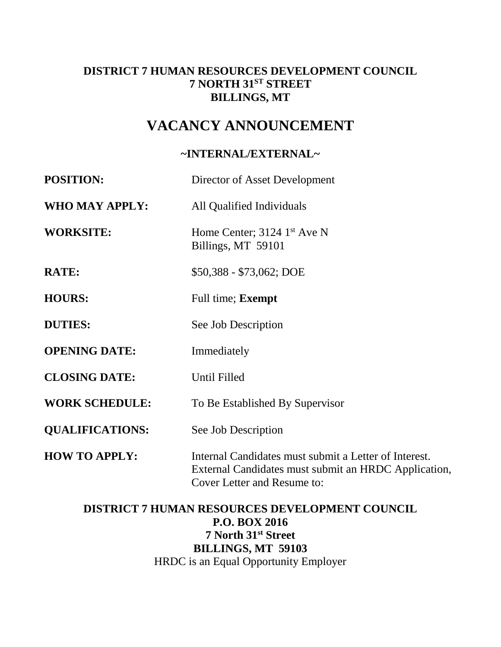### **DISTRICT 7 HUMAN RESOURCES DEVELOPMENT COUNCIL 7 NORTH 31ST STREET BILLINGS, MT**

# **VACANCY ANNOUNCEMENT**

### **~INTERNAL/EXTERNAL~**

| <b>POSITION:</b>       | Director of Asset Development                                                                                                                |  |
|------------------------|----------------------------------------------------------------------------------------------------------------------------------------------|--|
| <b>WHO MAY APPLY:</b>  | All Qualified Individuals                                                                                                                    |  |
| <b>WORKSITE:</b>       | Home Center; 3124 1 <sup>st</sup> Ave N<br>Billings, MT 59101                                                                                |  |
| <b>RATE:</b>           | \$50,388 - \$73,062; DOE                                                                                                                     |  |
| <b>HOURS:</b>          | Full time; <b>Exempt</b>                                                                                                                     |  |
| <b>DUTIES:</b>         | See Job Description                                                                                                                          |  |
| <b>OPENING DATE:</b>   | Immediately                                                                                                                                  |  |
| <b>CLOSING DATE:</b>   | Until Filled                                                                                                                                 |  |
| <b>WORK SCHEDULE:</b>  | To Be Established By Supervisor                                                                                                              |  |
| <b>QUALIFICATIONS:</b> | See Job Description                                                                                                                          |  |
| <b>HOW TO APPLY:</b>   | Internal Candidates must submit a Letter of Interest.<br>External Candidates must submit an HRDC Application,<br>Cover Letter and Resume to: |  |

### **DISTRICT 7 HUMAN RESOURCES DEVELOPMENT COUNCIL P.O. BOX 2016 7 North 31st Street BILLINGS, MT 59103** HRDC is an Equal Opportunity Employer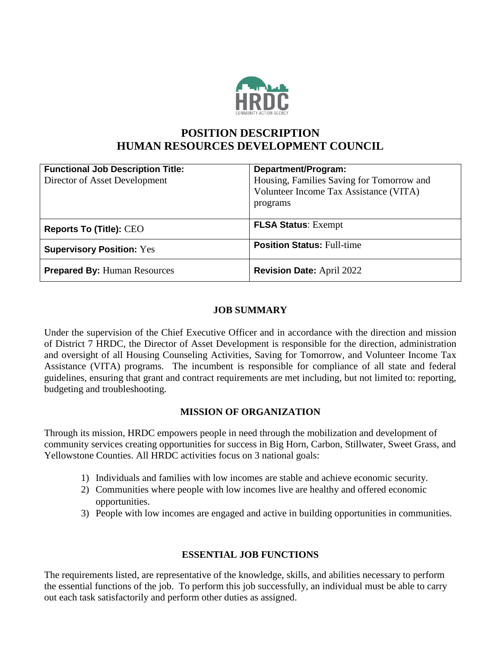

## **POSITION DESCRIPTION HUMAN RESOURCES DEVELOPMENT COUNCIL**

| <b>Functional Job Description Title:</b><br>Director of Asset Development | Department/Program:<br>Housing, Families Saving for Tomorrow and<br>Volunteer Income Tax Assistance (VITA) |
|---------------------------------------------------------------------------|------------------------------------------------------------------------------------------------------------|
|                                                                           | programs                                                                                                   |
| <b>Reports To (Title): CEO</b>                                            | <b>FLSA Status: Exempt</b>                                                                                 |
| <b>Supervisory Position: Yes</b>                                          | <b>Position Status: Full-time</b>                                                                          |
| <b>Prepared By: Human Resources</b>                                       | <b>Revision Date: April 2022</b>                                                                           |

#### **JOB SUMMARY**

Under the supervision of the Chief Executive Officer and in accordance with the direction and mission of District 7 HRDC, the Director of Asset Development is responsible for the direction, administration and oversight of all Housing Counseling Activities, Saving for Tomorrow, and Volunteer Income Tax Assistance (VITA) programs. The incumbent is responsible for compliance of all state and federal guidelines, ensuring that grant and contract requirements are met including, but not limited to: reporting, budgeting and troubleshooting.

#### **MISSION OF ORGANIZATION**

Through its mission, HRDC empowers people in need through the mobilization and development of community services creating opportunities for success in Big Horn, Carbon, Stillwater, Sweet Grass, and Yellowstone Counties. All HRDC activities focus on 3 national goals:

- 1) Individuals and families with low incomes are stable and achieve economic security.
- 2) Communities where people with low incomes live are healthy and offered economic opportunities.
- 3) People with low incomes are engaged and active in building opportunities in communities.

#### **ESSENTIAL JOB FUNCTIONS**

The requirements listed, are representative of the knowledge, skills, and abilities necessary to perform the essential functions of the job. To perform this job successfully, an individual must be able to carry out each task satisfactorily and perform other duties as assigned.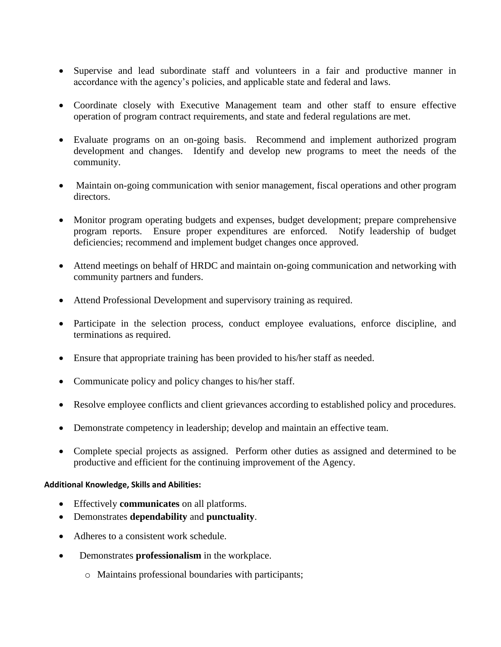- Supervise and lead subordinate staff and volunteers in a fair and productive manner in accordance with the agency's policies, and applicable state and federal and laws.
- Coordinate closely with Executive Management team and other staff to ensure effective operation of program contract requirements, and state and federal regulations are met.
- Evaluate programs on an on-going basis. Recommend and implement authorized program development and changes. Identify and develop new programs to meet the needs of the community.
- Maintain on-going communication with senior management, fiscal operations and other program directors.
- Monitor program operating budgets and expenses, budget development; prepare comprehensive program reports. Ensure proper expenditures are enforced. Notify leadership of budget deficiencies; recommend and implement budget changes once approved.
- Attend meetings on behalf of HRDC and maintain on-going communication and networking with community partners and funders.
- Attend Professional Development and supervisory training as required.
- Participate in the selection process, conduct employee evaluations, enforce discipline, and terminations as required.
- Ensure that appropriate training has been provided to his/her staff as needed.
- Communicate policy and policy changes to his/her staff.
- Resolve employee conflicts and client grievances according to established policy and procedures.
- Demonstrate competency in leadership; develop and maintain an effective team.
- Complete special projects as assigned. Perform other duties as assigned and determined to be productive and efficient for the continuing improvement of the Agency.

#### **Additional Knowledge, Skills and Abilities:**

- Effectively **communicates** on all platforms.
- Demonstrates **dependability** and **punctuality**.
- Adheres to a consistent work schedule.
- Demonstrates **professionalism** in the workplace.
	- o Maintains professional boundaries with participants;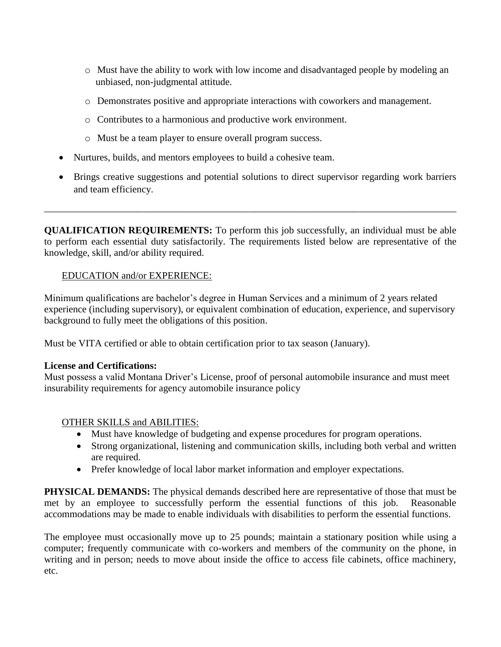- o Must have the ability to work with low income and disadvantaged people by modeling an unbiased, non-judgmental attitude.
- o Demonstrates positive and appropriate interactions with coworkers and management.
- o Contributes to a harmonious and productive work environment.
- o Must be a team player to ensure overall program success.
- Nurtures, builds, and mentors employees to build a cohesive team.
- Brings creative suggestions and potential solutions to direct supervisor regarding work barriers and team efficiency.

**QUALIFICATION REQUIREMENTS:** To perform this job successfully, an individual must be able to perform each essential duty satisfactorily. The requirements listed below are representative of the knowledge, skill, and/or ability required.

\_\_\_\_\_\_\_\_\_\_\_\_\_\_\_\_\_\_\_\_\_\_\_\_\_\_\_\_\_\_\_\_\_\_\_\_\_\_\_\_\_\_\_\_\_\_\_\_\_\_\_\_\_\_\_\_\_\_\_\_\_\_\_\_\_\_\_\_\_\_\_\_\_\_\_\_\_\_\_\_\_\_\_\_

#### EDUCATION and/or EXPERIENCE:

Minimum qualifications are bachelor's degree in Human Services and a minimum of 2 years related experience (including supervisory), or equivalent combination of education, experience, and supervisory background to fully meet the obligations of this position.

Must be VITA certified or able to obtain certification prior to tax season (January).

#### **License and Certifications:**

Must possess a valid Montana Driver's License, proof of personal automobile insurance and must meet insurability requirements for agency automobile insurance policy

### OTHER SKILLS and ABILITIES:

- Must have knowledge of budgeting and expense procedures for program operations.
- Strong organizational, listening and communication skills, including both verbal and written are required.
- Prefer knowledge of local labor market information and employer expectations.

**PHYSICAL DEMANDS:** The physical demands described here are representative of those that must be met by an employee to successfully perform the essential functions of this job. Reasonable accommodations may be made to enable individuals with disabilities to perform the essential functions.

The employee must occasionally move up to 25 pounds; maintain a stationary position while using a computer; frequently communicate with co-workers and members of the community on the phone, in writing and in person; needs to move about inside the office to access file cabinets, office machinery, etc.